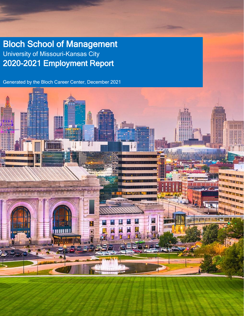Bloch School of Management University of Missouri-Kansas City 2020-2021 Employment Report

Generated by the Bloch Career Center, December 2021

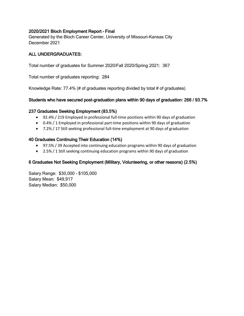## 2020/2021 Bloch Employment Report – Final

Generated by the Bloch Career Center, University of Missouri-Kansas City December 2021

## ALL UNDERGRADUATES:

Total number of graduates for Summer 2020/Fall 2020/Spring 2021: 367

Total number of graduates reporting: 284

Knowledge Rate: 77.4% (# of graduates reporting divided by total # of graduates)

## Students who have secured post-graduation plans within 90 days of graduation: 266 / 93.7%

## 237 Graduates Seeking Employment (83.5%)

- 92.4% / 219 Employed in professional full-time positions within 90 days of graduation
- 0.4% / 1 Employed in professional part-time positions within 90 days of graduation
- 7.2% / 17 Still seeking professional full-time employment at 90 days of graduation

## 40 Graduates Continuing Their Education (14%)

- 97.5% / 39 Accepted into continuing education programs within 90 days of graduation
- 2.5% / 1 Still seeking continuing education programs within 90 days of graduation

# 6 Graduates Not Seeking Employment (Military, Volunteering, or other reasons) (2.5%)

Salary Range: \$30,000 - \$105,000 Salary Mean: \$49,917 Salary Median: \$50,000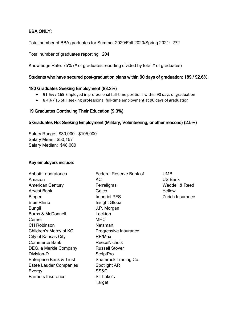# BBA ONLY:

Total number of BBA graduates for Summer 2020/Fall 2020/Spring 2021: 272

Total number of graduates reporting: 204

Knowledge Rate: 75% (# of graduates reporting divided by total # of graduates)

#### Students who have secured post-graduation plans within 90 days of graduation: 189 / 92.6%

#### 180 Graduates Seeking Employment (88.2%)

- 91.6% / 165 Employed in professional full-time positions within 90 days of graduation
- 8.4% / 15 Still seeking professional full-time employment at 90 days of graduation

### 19 Graduates Continuing Their Education (9.3%)

### 5 Graduates Not Seeking Employment (Military, Volunteering, or other reasons) (2.5%)

Salary Range: \$30,000 - \$105,000 Salary Mean: \$50,167 Salary Median: \$48,000

### Key employers include:

| <b>Abbott Laboratories</b>    | <b>Federal Reserve Bank of</b> |
|-------------------------------|--------------------------------|
| Amazon                        | KС                             |
| <b>American Century</b>       | Ferrellgras                    |
| Arvest Bank                   | Geico                          |
| Biogen                        | <b>Imperial PFS</b>            |
| <b>Blue Rhino</b>             | Insight Global                 |
| Bungii                        | J.P. Morgan                    |
| <b>Burns &amp; McDonnell</b>  | Lockton                        |
| Cerner                        | <b>MHC</b>                     |
| <b>CH Robinson</b>            | Netsmart                       |
| Children's Mercy of KC        | Progressive Insurance          |
| City of Kansas City           | RE/Max                         |
| Commerce Bank                 | <b>ReeceNichols</b>            |
| DEG, a Merkle Company         | <b>Russell Stover</b>          |
| Division-D                    | ScriptPro                      |
| Enterprise Bank & Trust       | Shamrock Trading Co.           |
| <b>Estee Lauder Companies</b> | Spotlight AR                   |
| Evergy                        | SS&C                           |
| <b>Farmers Insurance</b>      | St. Luke's                     |
|                               | Target                         |

UMB US Bank Waddell & Reed Yellow Zurich Insurance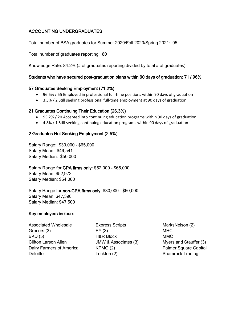# ACCOUNTING UNDERGRADUATES

Total number of BSA graduates for Summer 2020/Fall 2020/Spring 2021: 95

Total number of graduates reporting: 80

Knowledge Rate: 84.2% (# of graduates reporting divided by total # of graduates)

## Students who have secured post-graduation plans within 90 days of graduation: 71 / 96%

### 57 Graduates Seeking Employment (71.2%)

- 96.5% / 55 Employed in professional full-time positions within 90 days of graduation
- 3.5% / 2 Still seeking professional full-time employment at 90 days of graduation

### 21 Graduates Continuing Their Education (26.3%)

- 95.2% / 20 Accepted into continuing education programs within 90 days of graduation
- 4.8% / 1 Still seeking continuing education programs within 90 days of graduation

### 2 Graduates Not Seeking Employment (2.5%)

Salary Range: \$30,000 - \$65,000 Salary Mean: \$49,541 Salary Median: \$50,000

Salary Range for CPA firms only: \$52,000 - \$65,000 Salary Mean: \$52,972 Salary Median: \$54,000

Salary Range for non-CPA firms only: \$30,000 - \$60,000 Salary Mean: \$47,396 Salary Median: \$47,500

### Key employers include:

Associated Wholesale Grocers (3) BKD (5) Clifton Larson Allen Dairy Farmers of America **Deloitte** 

Express Scripts EY (3) H&R Block JMW & Associates (3) KPMG (2) Lockton (2)

MarksNelson (2) MHC MMC Myers and Stauffer (3) Palmer Square Capital Shamrock Trading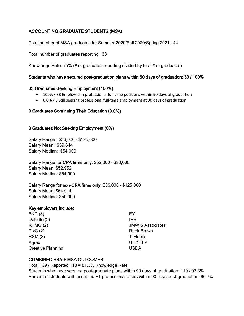# ACCOUNTING GRADUATE STUDENTS (MSA)

Total number of MSA graduates for Summer 2020/Fall 2020/Spring 2021: 44

Total number of graduates reporting: 33

Knowledge Rate: 75% (# of graduates reporting divided by total # of graduates)

## Students who have secured post-graduation plans within 90 days of graduation: 33 / 100%

### 33 Graduates Seeking Employment (100%)

- 100% / 33 Employed in professional full-time positions within 90 days of graduation
- 0.0% / 0 Still seeking professional full-time employment at 90 days of graduation

# 0 Graduates Continuing Their Education (0.0%)

## 0 Graduates Not Seeking Employment (0%)

Salary Range: \$36,000 - \$125,000 Salary Mean: \$59,644 Salary Median: \$54,000

Salary Range for CPA firms only: \$52,000 - \$80,000 Salary Mean: \$52,952 Salary Median: \$54,000

Salary Range for non-CPA firms only: \$36,000 - \$125,000 Salary Mean: \$64,014 Salary Median: \$50,000

### Key employers include:

BKD (3) Deloitte (2) KPMG (2) PwC (2) RSM (2) Agrex Creative Planning

EY IRS JMW & Associates RubinBrown T-Mobile UHY LLP USDA

# COMBINED BSA + MSA OUTCOMES

Total 139 / Reported 113 = 81.3% Knowledge Rate Students who have secured post-graduate plans within 90 days of graduation: 110 / 97.3% Percent of students with accepted FT professional offers within 90 days post-graduation: 96.7%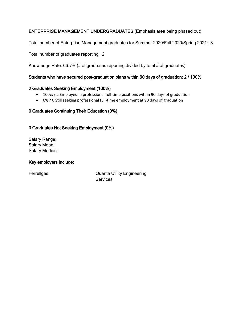# ENTERPRISE MANAGEMENT UNDERGRADUATES (Emphasis area being phased out)

Total number of Enterprise Management graduates for Summer 2020/Fall 2020/Spring 2021: 3

Total number of graduates reporting: 2

Knowledge Rate: 66.7% (# of graduates reporting divided by total # of graduates)

## Students who have secured post-graduation plans within 90 days of graduation: 2 / 100%

### 2 Graduates Seeking Employment (100%)

- 100% / 2 Employed in professional full-time positions within 90 days of graduation
- 0% / 0 Still seeking professional full-time employment at 90 days of graduation

# 0 Graduates Continuing Their Education (0%)

# 0 Graduates Not Seeking Employment (0%)

Salary Range: Salary Mean: Salary Median:

### Key employers include:

Ferrellgas **Canadia Cuanta Utility Engineering Services**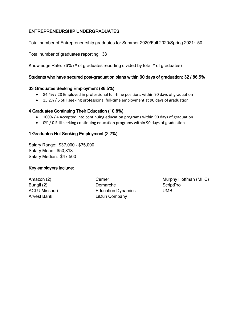# ENTREPRENEURSHIP UNDERGRADUATES

Total number of Entrepreneurship graduates for Summer 2020/Fall 2020/Spring 2021: 50

Total number of graduates reporting: 38

Knowledge Rate: 76% (# of graduates reporting divided by total # of graduates)

## Students who have secured post-graduation plans within 90 days of graduation: 32 / 86.5%

### 33 Graduates Seeking Employment (86.5%)

- 84.4% / 28 Employed in professional full-time positions within 90 days of graduation
- 15.2% / 5 Still seeking professional full-time employment at 90 days of graduation

## 4 Graduates Continuing Their Education (10.8%)

- 100% / 4 Accepted into continuing education programs within 90 days of graduation
- 0% / 0 Still seeking continuing education programs within 90 days of graduation

## 1 Graduates Not Seeking Employment (2.7%)

Salary Range: \$37,000 - \$75,000 Salary Mean: \$50,818 Salary Median: \$47,500

# Key employers include:

Amazon (2) Bungii (2) ACLU Missouri Arvest Bank

Cerner Demarche Education Dynamics LiDun Company

Murphy Hoffman (MHC) **ScriptPro** UMB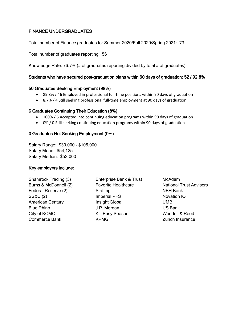# FINANCE UNDERGRADUATES

Total number of Finance graduates for Summer 2020/Fall 2020/Spring 2021: 73

Total number of graduates reporting: 56

Knowledge Rate: 76.7% (# of graduates reporting divided by total # of graduates)

## Students who have secured post-graduation plans within 90 days of graduation: 52 / 92.8%

### 50 Graduates Seeking Employment (98%)

- 89.3% / 46 Employed in professional full-time positions within 90 days of graduation
- 8.7% / 4 Still seeking professional full-time employment at 90 days of graduation

### 6 Graduates Continuing Their Education (8%)

- 100% / 6 Accepted into continuing education programs within 90 days of graduation
- 0% / 0 Still seeking continuing education programs within 90 days of graduation

### 0 Graduates Not Seeking Employment (0%)

Salary Range: \$30,000 - \$105,000 Salary Mean: \$54,125 Salary Median: \$52,000

### Key employers include:

Shamrock Trading (3) Burns & McDonnell (2) Federal Reserve (2) SS&C (2) American Century Blue Rhino City of KCMO Commerce Bank

Enterprise Bank & Trust Favorite Healthcare **Staffing** Imperial PFS Insight Global J.P. Morgan Kill Busy Season KPMG

McAdam National Trust Advisors NBH Bank Novation IQ UMB US Bank Waddell & Reed Zurich Insurance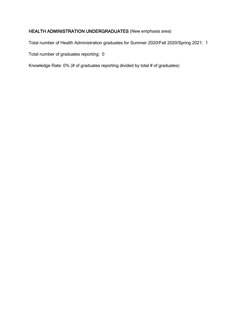# HEALTH ADMINISTRATION UNDERGRADUATES (New emphasis area)

Total number of Health Administration graduates for Summer 2020/Fall 2020/Spring 2021: 1

Total number of graduates reporting: 0

Knowledge Rate: 0% (# of graduates reporting divided by total # of graduates)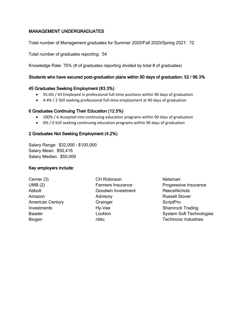# MANAGEMENT UNDERGRADUATES

Total number of Management graduates for Summer 2020/Fall 2020/Spring 2021: 72

Total number of graduates reporting: 54

Knowledge Rate: 75% (# of graduates reporting divided by total # of graduates)

## Students who have secured post-graduation plans within 90 days of graduation: 52 / 96.3%

### 45 Graduates Seeking Employment (83.3%)

- 95.6% / 43 Employed in professional full-time positions within 90 days of graduation
- 4.4% / 2 Still seeking professional full-time employment at 90 days of graduation

## 6 Graduates Continuing Their Education (12.5%)

- 100% / 6 Accepted into continuing education programs within 90 days of graduation
- 0% / 0 Still seeking continuing education programs within 90 days of graduation

## 2 Graduates Not Seeking Employment (4.2%)

Salary Range: \$32,000 - \$100,000 Salary Mean: \$50,416 Salary Median: \$50,000

# Key employers include:

Cerner (3) UMB (2) Abbott Amazon American Century Investments Baader Biogen

CH Robinson Farmers Insurance Goodwin Investment Advisory **Grainger** Hy-Vee Lockton nbkc

**Netsmart** Progressive Insurance ReeceNichols Russell Stover **ScriptPro** Shamrock Trading System Soft Technologies Techtronic Industries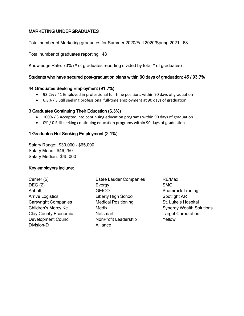# MARKETING UNDERGRADUATES

Total number of Marketing graduates for Summer 2020/Fall 2020/Spring 2021: 63

Total number of graduates reporting: 48

Knowledge Rate: 73% (# of graduates reporting divided by total # of graduates)

### Students who have secured post-graduation plans within 90 days of graduation: 45 / 93.7%

### 44 Graduates Seeking Employment (91.7%)

- 93.2% / 41 Employed in professional full-time positions within 90 days of graduation
- 6.8% / 3 Still seeking professional full-time employment at 90 days of graduation

## 3 Graduates Continuing Their Education (6.3%)

- 100% / 3 Accepted into continuing education programs within 90 days of graduation
- 0% / 0 Still seeking continuing education programs within 90 days of graduation

# 1 Graduates Not Seeking Employment (2.1%)

Salary Range: \$30,000 - \$65,000 Salary Mean: \$46,250 Salary Median: \$45,000

# Key employers include:

Cerner (5) DEG (2) Abbott Arrive Logistics Cartwright Companies Children's Mercy Kc Clay County Economic Development Council Division-D

Estee Lauder Companies **Evergy GEICO** Liberty High School Medical Positioning Medix **Netsmart** NonProfit Leadership Alliance

RE/Max SMG Shamrock Trading Spotlight AR St. Luke's Hospital Synergy Wealth Solutions Target Corporation Yellow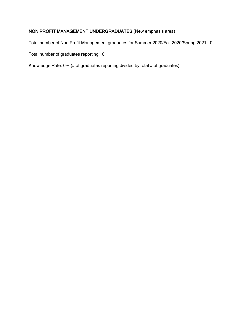# NON PROFIT MANAGEMENT UNDERGRADUATES (New emphasis area)

Total number of Non Profit Management graduates for Summer 2020/Fall 2020/Spring 2021: 0

Total number of graduates reporting: 0

Knowledge Rate: 0% (# of graduates reporting divided by total # of graduates)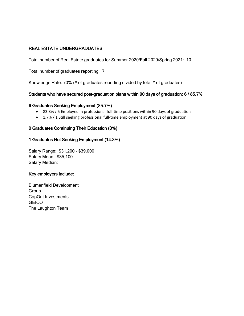# REAL ESTATE UNDERGRADUATES

Total number of Real Estate graduates for Summer 2020/Fall 2020/Spring 2021: 10

Total number of graduates reporting: 7

Knowledge Rate: 70% (# of graduates reporting divided by total # of graduates)

## Students who have secured post-graduation plans within 90 days of graduation: 6 / 85.7%

### 6 Graduates Seeking Employment (85.7%)

- 83.3% / 5 Employed in professional full-time positions within 90 days of graduation
- 1.7% / 1 Still seeking professional full-time employment at 90 days of graduation

### 0 Graduates Continuing Their Education (0%)

## 1 Graduates Not Seeking Employment (14.3%)

Salary Range: \$31,200 - \$39,000 Salary Mean: \$35,100 Salary Median:

### Key employers include:

Blumenfield Development Group CapOut Investments **GEICO** The Laughton Team